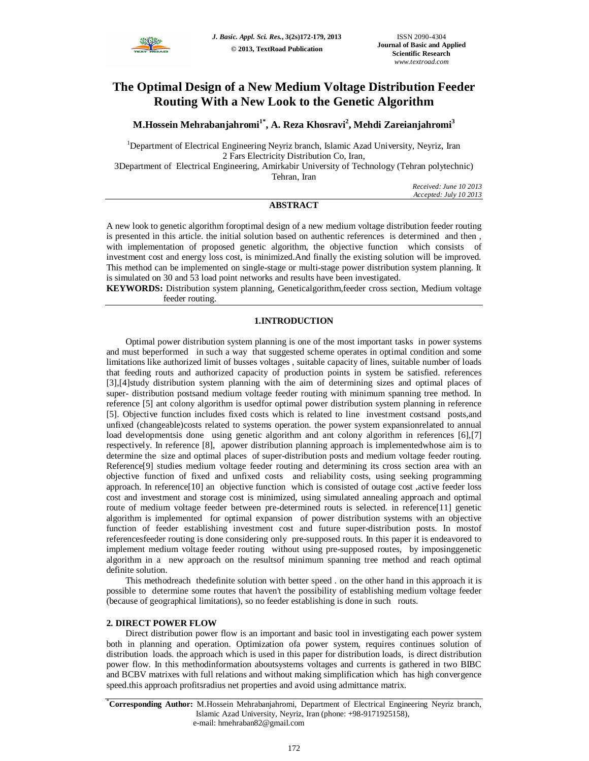

# **The Optimal Design of a New Medium Voltage Distribution Feeder Routing With a New Look to the Genetic Algorithm**

**M.Hossein Mehrabanjahromi1\*, A. Reza Khosravi<sup>2</sup> , Mehdi Zareianjahromi<sup>3</sup>**

<sup>1</sup>Department of Electrical Engineering Neyriz branch, Islamic Azad University, Neyriz, Iran 2 Fars Electricity Distribution Co, Iran,

3Department of Electrical Engineering, Amirkabir University of Technology (Tehran polytechnic) Tehran, Iran

> *Received: June 10 2013 Accepted: July 10 2013*

## **ABSTRACT**

A new look to genetic algorithm foroptimal design of a new medium voltage distribution feeder routing is presented in this article. the initial solution based on authentic references is determined and then , with implementation of proposed genetic algorithm, the objective function which consists of investment cost and energy loss cost, is minimized.And finally the existing solution will be improved. This method can be implemented on single-stage or multi-stage power distribution system planning. It is simulated on 30 and 53 load point networks and results have been investigated.

**KEYWORDS:** Distribution system planning, Geneticalgorithm,feeder cross section, Medium voltage feeder routing.

## **1.INTRODUCTION**

Optimal power distribution system planning is one of the most important tasks in power systems and must beperformed in such a way that suggested scheme operates in optimal condition and some limitations like authorized limit of busses voltages , suitable capacity of lines, suitable number of loads that feeding routs and authorized capacity of production points in system be satisfied. references [3],[4]study distribution system planning with the aim of determining sizes and optimal places of super- distribution postsand medium voltage feeder routing with minimum spanning tree method. In reference [5] ant colony algorithm is usedfor optimal power distribution system planning in reference [5]. Objective function includes fixed costs which is related to line investment costsand posts,and unfixed (changeable)costs related to systems operation. the power system expansionrelated to annual load developmentsis done using genetic algorithm and ant colony algorithm in references [6],[7] respectively. In reference [8], apower distribution planning approach is implementedwhose aim is to determine the size and optimal places of super-distribution posts and medium voltage feeder routing. Reference[9] studies medium voltage feeder routing and determining its cross section area with an objective function of fixed and unfixed costs and reliability costs, using seeking programming approach. In reference[10] an objective function which is consisted of outage cost ,active feeder loss cost and investment and storage cost is minimized, using simulated annealing approach and optimal route of medium voltage feeder between pre-determined routs is selected. in reference[11] genetic algorithm is implemented for optimal expansion of power distribution systems with an objective function of feeder establishing investment cost and future super-distribution posts. In mostof referencesfeeder routing is done considering only pre-supposed routs. In this paper it is endeavored to implement medium voltage feeder routing without using pre-supposed routes, by imposinggenetic algorithm in a new approach on the resultsof minimum spanning tree method and reach optimal definite solution.

This methodreach thedefinite solution with better speed . on the other hand in this approach it is possible to determine some routes that haven't the possibility of establishing medium voltage feeder (because of geographical limitations), so no feeder establishing is done in such routs.

## **2. DIRECT POWER FLOW**

Direct distribution power flow is an important and basic tool in investigating each power system both in planning and operation. Optimization ofa power system, requires continues solution of distribution loads. the approach which is used in this paper for distribution loads, is direct distribution power flow. In this methodinformation aboutsystems voltages and currents is gathered in two BIBC and BCBV matrixes with full relations and without making simplification which has high convergence speed.this approach profitsradius net properties and avoid using admittance matrix.

<sup>\*</sup>**Corresponding Author:** M.Hossein Mehrabanjahromi, Department of Electrical Engineering Neyriz branch, Islamic Azad University, Neyriz, Iran (phone: +98-9171925158), e-mail: hmehraban82@gmail.com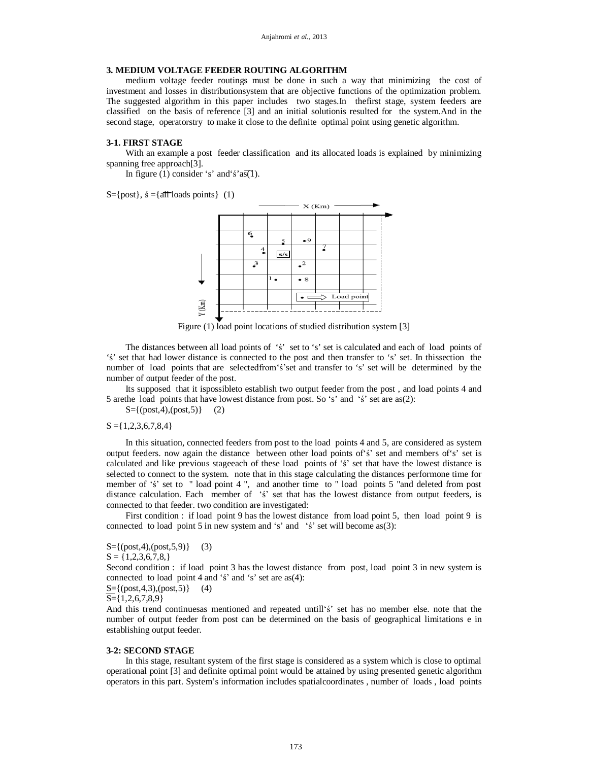# **3. MEDIUM VOLTAGE FEEDER ROUTING ALGORITHM**

medium voltage feeder routings must be done in such a way that minimizing the cost of investment and losses in distributionsystem that are objective functions of the optimization problem. The suggested algorithm in this paper includes two stages.In thefirst stage, system feeders are classified on the basis of reference [3] and an initial solutionis resulted for the system.And in the second stage, operatorstry to make it close to the definite optimal point using genetic algorithm.

## **3-1. FIRST STAGE**

With an example a post feeder classification and its allocated loads is explained by minimizing spanning free approach[3].

In figure (1) consider 's' and 's'  $a\overline{s(1)}$ .

 $S = \{post\}, \, \dot{s} = \{affloads points\}$  (1)



Figure (1) load point locations of studied distribution system [3]

The distances between all load points of 'ś' set to 's' set is calculated and each of load points of 'ś' set that had lower distance is connected to the post and then transfer to 's' set. In thissection the number of load points that are selectedfrom'ś'set and transfer to 's' set will be determined by the number of output feeder of the post.

Its supposed that it ispossibleto establish two output feeder from the post , and load points 4 and 5 arethe load points that have lowest distance from post. So 's' and 'ś' set are as(2):

 $S = \{(post, 4), (post, 5)\}$  (2)

 $S = \{1,2,3,6,7,8,4\}$ 

In this situation, connected feeders from post to the load points 4 and 5, are considered as system output feeders. now again the distance between other load points of'ś' set and members of's' set is calculated and like previous stageeach of these load points of 'ś' set that have the lowest distance is selected to connect to the system. note that in this stage calculating the distances performone time for member of 'ś' set to " load point 4 ", and another time to " load points 5 "and deleted from post distance calculation. Each member of 'ś' set that has the lowest distance from output feeders, is connected to that feeder. two condition are investigated:

First condition : if load point 9 has the lowest distance from load point 5, then load point 9 is connected to load point 5 in new system and 's' and 'ś' set will become as(3):

 $S = \{(post, 4), (post, 5, 9)\}$  (3)

 $S = \{1, 2, 3, 6, 7, 8\}$ 

Second condition : if load point 3 has the lowest distance from post, load point 3 in new system is connected to load point 4 and 's' and 's' set are  $as(4)$ :

 $S=\{(post,4,3),(post,5)\}$  (4)

 $\overline{S}=\{1,2,6,7,8,9\}$ 

And this trend continuesas mentioned and repeated untill's' set has no member else, note that the number of output feeder from post can be determined on the basis of geographical limitations e in establishing output feeder.

## **3-2: SECOND STAGE**

In this stage, resultant system of the first stage is considered as a system which is close to optimal operational point [3] and definite optimal point would be attained by using presented genetic algorithm operators in this part. System's information includes spatialcoordinates , number of loads , load points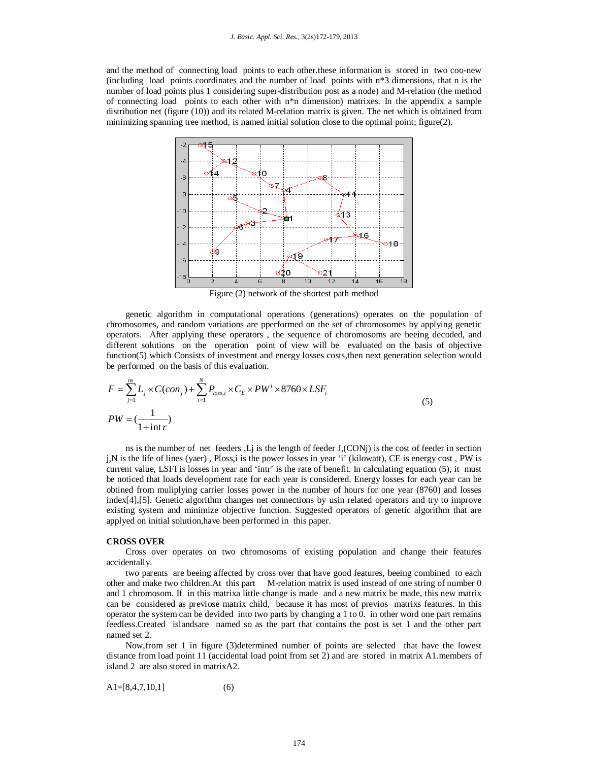and the method of connecting load points to each other.these information is stored in two coo-new (including load points coordinates and the number of load points with n\*3 dimensions, that n is the number of load points plus 1 considering super-distribution post as a node) and M-relation (the method of connecting load points to each other with n\*n dimension) matrixes. In the appendix a sample distribution net (figure (10)) and its related M-relation matrix is given. The net which is obtained from minimizing spanning tree method, is named initial solution close to the optimal point; figure(2).



Figure (2) network of the shortest path method

genetic algorithm in computational operations (generations) operates on the population of chromosomes, and random variations are pperformed on the set of chromosomes by applying genetic operators. After applying these operators , the sequence of choromosoms are beeing decoded, and different solutions on the operation point of view will be evaluated on the basis of objective function(5) which Consists of investment and energy losses costs,then next generation selection would be performed on the basis of this evaluation.

$$
F = \sum_{j=1}^{ns} L_j \times C(con_j) + \sum_{i=1}^{N} P_{loss,i} \times C_E \times PW^i \times 8760 \times LSF_i
$$
  
\n
$$
PW = (\frac{1}{1 + \text{int } r})
$$
\n(5)

ns is the number of net feeders ,Lj is the length of feeder J,(CONj) is the cost of feeder in section j,N is the life of lines (yaer) , Ploss,i is the power losses in year 'i' (kilowatt), CE is energy cost , PW is current value, LSFI is losses in year and 'intr' is the rate of benefit. In calculating equation (5), it must be noticed that loads development rate for each year is considered. Energy losses for each year can be obtined from muliplying carrier losses power in the number of hours for one year (8760) and losses index[4],[5]. Genetic algorithm changes net connections by usin related operators and try to improve existing system and minimize objective function. Suggested operators of genetic algorithm that are applyed on initial solution,have been performed in this paper.

## **CROSS OVER**

Cross over operates on two chromosoms of existing population and change their features accidentally.

two parents are beeing affected by cross over that have good features, beeing combined to each other and make two children.At this part M-relation matrix is used instead of one string of number 0 and 1 chromosom. If in this matrixa little change is made and a new matrix be made, this new matrix can be considered as previose matrix child, because it has most of previos matrixs features. In this operator the system can be devided into two parts by changing a 1 to 0. in other word one part remains feedless.Created islandsare named so as the part that contains the post is set 1 and the other part named set 2.

Now,from set 1 in figure (3)determined number of points are selected that have the lowest distance from load point 11 (accidental load point from set 2) and are stored in matrix A1.members of island 2 are also stored in matrixA2.

$$
AI = [8, 4, 7, 10, 1] \tag{6}
$$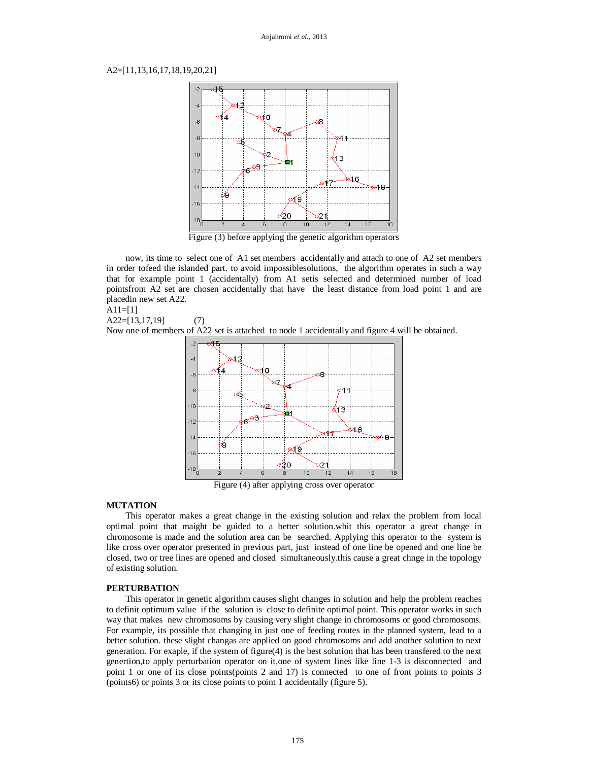## A2=[11,13,16,17,18,19,20,21]



Figure (3) before applying the genetic algorithm operators

now, its time to select one of A1 set members accidentally and attach to one of A2 set members in order tofeed the islanded part. to avoid impossiblesolutions, the algorithm operates in such a way that for example point 1 (accidentally) from A1 setis selected and determined number of load pointsfrom A2 set are chosen accidentally that have the least distance from load point 1 and are placedin new set A22.

# $A11=[1]$

A22=[13,17,19] (7)

Now one of members of A22 set is attached to node 1 accidentally and figure 4 will be obtained.



Figure (4) after applying cross over operator

## **MUTATION**

This operator makes a great change in the existing solution and relax the problem from local optimal point that maight be guided to a better solution.whit this operator a great change in chromosome is made and the solution area can be searched. Applying this operator to the system is like cross over operator presented in previous part, just instead of one line be opened and one line be closed, two or tree lines are opened and closed simultaneously.this cause a great chnge in the topology of existing solution.

## **PERTURBATION**

This operator in genetic algorithm causes slight changes in solution and help the problem reaches to definit optimum value if the solution is close to definite optimal point. This operator works in such way that makes new chromosoms by causing very slight change in chromosoms or good chromosoms. For example, its possible that changing in just one of feeding routes in the planned system, lead to a better solution. these slight changas are applied on good chromosoms and add another solution to next generation. For exaple, if the system of figure(4) is the best solution that has been transfered to the next genertion,to apply perturbation operator on it,one of system lines like line 1-3 is disconnected and point 1 or one of its close points(points 2 and 17) is connected to one of front points to points 3 (points6) or points 3 or its close points to point 1 accidentally (figure 5).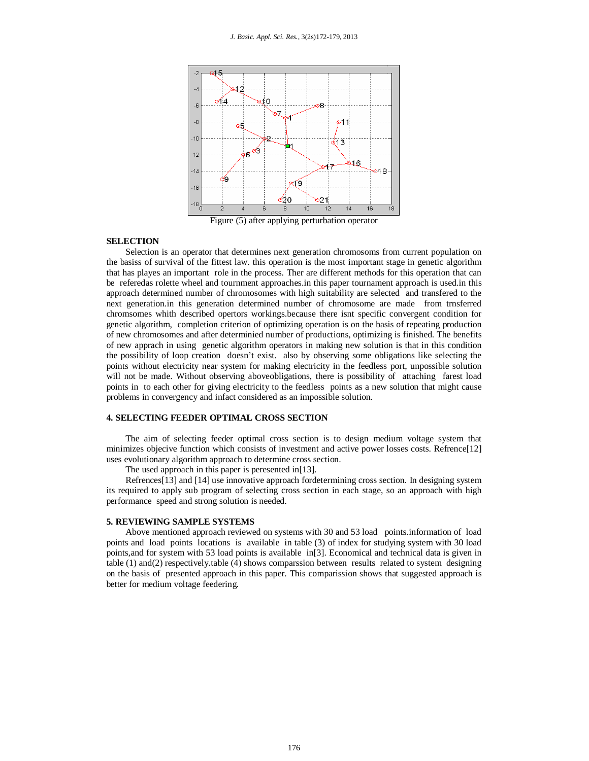

Figure (5) after applying perturbation operator

## **SELECTION**

Selection is an operator that determines next generation chromosoms from current population on the basiss of survival of the fittest law. this operation is the most important stage in genetic algorithm that has playes an important role in the process. Ther are different methods for this operation that can be referedas rolette wheel and tournment approaches.in this paper tournament approach is used.in this approach determined number of chromosomes with high suitability are selected and transfered to the next generation.in this generation determined number of chromosome are made from trnsferred chromsomes whith described opertors workings.because there isnt specific convergent condition for genetic algorithm, completion criterion of optimizing operation is on the basis of repeating production of new chromosomes and after determinied number of productions, optimizing is finished. The benefits of new apprach in using genetic algorithm operators in making new solution is that in this condition the possibility of loop creation doesn't exist. also by observing some obligations like selecting the points without electricity near system for making electricity in the feedless port, unpossible solution will not be made. Without observing aboveobligations, there is possibility of attaching farest load points in to each other for giving electricity to the feedless points as a new solution that might cause problems in convergency and infact considered as an impossible solution.

### **4. SELECTING FEEDER OPTIMAL CROSS SECTION**

The aim of selecting feeder optimal cross section is to design medium voltage system that minimizes objecive function which consists of investment and active power losses costs. Refrence[12] uses evolutionary algorithm approach to determine cross section.

The used approach in this paper is peresented in[13].

Refrences[13] and [14] use innovative approach fordetermining cross section. In designing system its required to apply sub program of selecting cross section in each stage, so an approach with high performance speed and strong solution is needed.

#### **5. REVIEWING SAMPLE SYSTEMS**

Above mentioned approach reviewed on systems with 30 and 53 load points.information of load points and load points locations is available in table (3) of index for studying system with 30 load points,and for system with 53 load points is available in[3]. Economical and technical data is given in table (1) and(2) respectively.table (4) shows comparssion between results related to system designing on the basis of presented approach in this paper. This comparission shows that suggested approach is better for medium voltage feedering.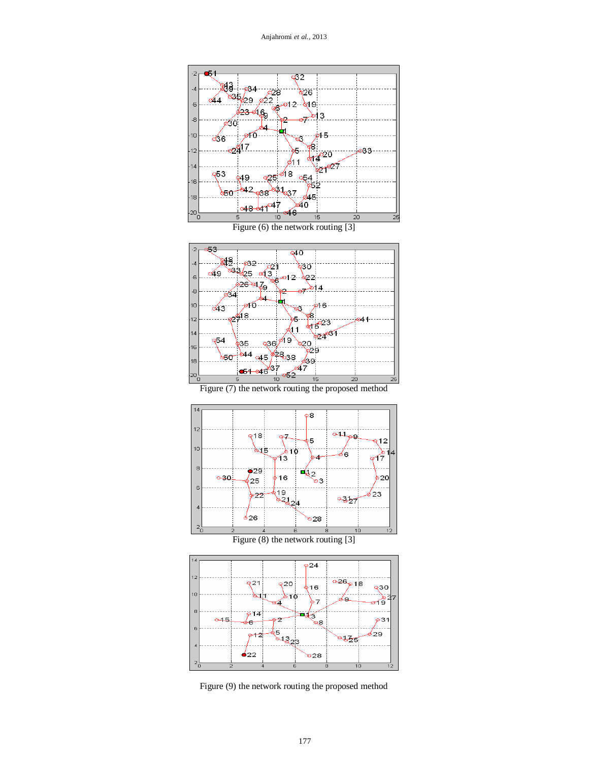

Figure (9) the network routing the proposed method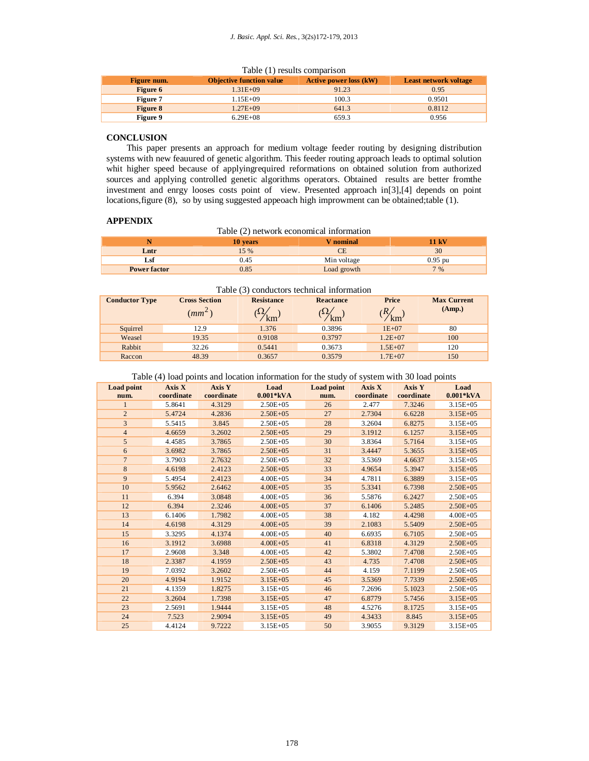#### Table (1) results comparison

| Figure num. | <b>Objective function value</b> | <b>Active power loss (kW)</b> | Least network voltage |
|-------------|---------------------------------|-------------------------------|-----------------------|
| Figure 6    | $1.31E + 09$                    | 91.23                         | 0.95                  |
| Figure 7    | 1.15E+09                        | 100.3                         | 0.9501                |
| Figure 8    | $1.27E + 09$                    | 641.3                         | 0.8112                |
| Figure 9    | $6.29E + 08$                    | 659.3                         | 0.956                 |

## **CONCLUSION**

This paper presents an approach for medium voltage feeder routing by designing distribution systems with new feauured of genetic algorithm. This feeder routing approach leads to optimal solution whit higher speed because of applyingrequired reformations on obtained solution from authorized sources and applying controlled genetic algorithms operators. Obtained results are better fromthe investment and enrgy looses costs point of view. Presented approach in[3],[4] depends on point locations,figure (8), so by using suggested appeoach high improwment can be obtained;table (1).

## **APPENDIX**

#### Table (2) network economical information

|                     | 10 years |             | $11 \text{ kV}$ |  |
|---------------------|----------|-------------|-----------------|--|
| Lntr                | 15 %     |             | 30              |  |
|                     | 0.45     | Min voltage | $0.95$ pu       |  |
| <b>Power factor</b> | 0.85     | Load growth | $7\%$           |  |

#### Table (3) conductors technical information

| <b>Conductor Type</b> | <b>Cross Section</b><br>$(mm^2)$ | <b>Resistance</b><br>$\frac{d^2}{km^2}$ | Reactance<br>$\frac{\Omega}{\text{km}}$ | Price<br>$\sqrt{R_{\rm km}}$ | <b>Max Current</b><br>(Amp.) |
|-----------------------|----------------------------------|-----------------------------------------|-----------------------------------------|------------------------------|------------------------------|
| Squirrel              | 12.9                             | 1.376                                   | 0.3896                                  | $1E+07$                      | 80                           |
| Weasel                | 19.35                            | 0.9108                                  | 0.3797                                  | $1.2E + 07$                  | 100                          |
| Rabbit                | 32.26                            | 0.5441                                  | 0.3673                                  | $1.5E + 07$                  | 120                          |
| Raccon                | 48.39                            | 0.3657                                  | 0.3579                                  | $1.7E + 07$                  | 150                          |

## Table (4) load points and location information for the study of system with 30 load points

| <b>Load point</b> | Axis X     | Axis Y     | Load          | Load point | Axis X     | Axis Y     | Load          |
|-------------------|------------|------------|---------------|------------|------------|------------|---------------|
| num.              | coordinate | coordinate | $0.001*$ kVA  | num.       | coordinate | coordinate | $0.001*$ kVA  |
| 1                 | 5.8641     | 4.3129     | $2.50E + 0.5$ | 26         | 2.477      | 7.3246     | $3.15E + 0.5$ |
| $\overline{2}$    | 5.4724     | 4.2836     | $2.50E + 0.5$ | 27         | 2.7304     | 6.6228     | $3.15E + 0.5$ |
| 3                 | 5.5415     | 3.845      | $2.50E + 0.5$ | 28         | 3.2604     | 6.8275     | $3.15E + 0.5$ |
| $\overline{4}$    | 4.6659     | 3.2602     | $2.50E + 0.5$ | 29         | 3.1912     | 6.1257     | $3.15E + 0.5$ |
| 5                 | 4.4585     | 3.7865     | $2.50E + 05$  | 30         | 3.8364     | 5.7164     | $3.15E + 0.5$ |
| 6                 | 3.6982     | 3.7865     | $2.50E + 0.5$ | 31         | 3.4447     | 5.3655     | $3.15E + 0.5$ |
| $\overline{7}$    | 3.7903     | 2.7632     | $2.50E + 0.5$ | 32         | 3.5369     | 4.6637     | $3.15E + 0.5$ |
| 8                 | 4.6198     | 2.4123     | $2.50E + 0.5$ | 33         | 4.9654     | 5.3947     | $3.15E + 0.5$ |
| 9                 | 5.4954     | 2.4123     | $4.00E + 0.5$ | 34         | 4.7811     | 6.3889     | $3.15E + 0.5$ |
| 10                | 5.9562     | 2.6462     | $4.00E + 05$  | 35         | 5.3341     | 6.7398     | $2.50E + 0.5$ |
| 11                | 6.394      | 3.0848     | $4.00E + 05$  | 36         | 5.5876     | 6.2427     | $2.50E + 0.5$ |
| 12                | 6.394      | 2.3246     | $4.00E + 05$  | 37         | 6.1406     | 5.2485     | $2.50E + 05$  |
| 13                | 6.1406     | 1.7982     | $4.00E + 05$  | 38         | 4.182      | 4.4298     | $4.00E + 0.5$ |
| 14                | 4.6198     | 4.3129     | $4.00E + 05$  | 39         | 2.1083     | 5.5409     | $2.50E + 05$  |
| 15                | 3.3295     | 4.1374     | $4.00E + 0.5$ | 40         | 6.6935     | 6.7105     | $2.50E + 0.5$ |
| 16                | 3.1912     | 3.6988     | $4.00E + 05$  | 41         | 6.8318     | 4.3129     | $2.50E + 0.5$ |
| 17                | 2.9608     | 3.348      | $4.00E + 05$  | 42         | 5.3802     | 7.4708     | $2.50E + 0.5$ |
| 18                | 2.3387     | 4.1959     | $2.50E + 05$  | 43         | 4.735      | 7.4708     | $2.50E + 05$  |
| 19                | 7.0392     | 3.2602     | $2.50E + 0.5$ | 44         | 4.159      | 7.1199     | $2.50E + 0.5$ |
| 20                | 4.9194     | 1.9152     | $3.15E + 05$  | 45         | 3.5369     | 7.7339     | $2.50E + 05$  |
| 21                | 4.1359     | 1.8275     | $3.15E + 05$  | 46         | 7.2696     | 5.1023     | $2.50E + 0.5$ |
| 22                | 3.2604     | 1.7398     | $3.15E + 05$  | 47         | 6.8779     | 5.7456     | $3.15E + 05$  |
| 23                | 2.5691     | 1.9444     | $3.15E + 05$  | 48         | 4.5276     | 8.1725     | $3.15E + 05$  |
| 24                | 7.523      | 2.9094     | $3.15E + 05$  | 49         | 4.3433     | 8.845      | $3.15E + 05$  |
| 25                | 4.4124     | 9.7222     | $3.15E + 05$  | 50         | 3.9055     | 9.3129     | $3.15E + 0.5$ |